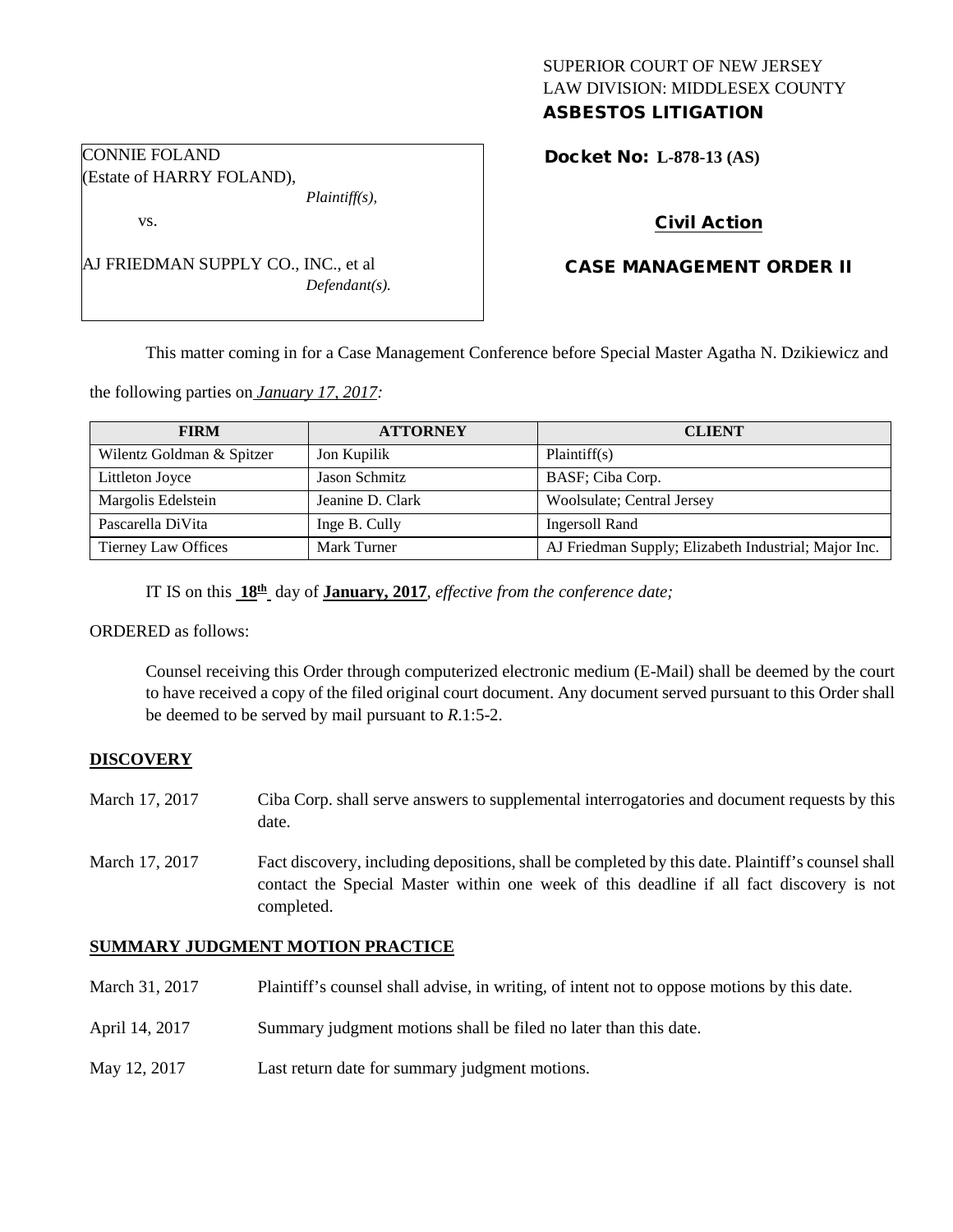## SUPERIOR COURT OF NEW JERSEY LAW DIVISION: MIDDLESEX COUNTY ASBESTOS LITIGATION

Docket No: **L-878-13 (AS)** 

# Civil Action

# CASE MANAGEMENT ORDER II

This matter coming in for a Case Management Conference before Special Master Agatha N. Dzikiewicz and

the following parties on *January 17, 2017:*

AJ FRIEDMAN SUPPLY CO., INC., et al

| <b>FIRM</b>               | <b>ATTORNEY</b>  | <b>CLIENT</b>                                        |
|---------------------------|------------------|------------------------------------------------------|
| Wilentz Goldman & Spitzer | Jon Kupilik      | Plaintiff(s)                                         |
| Littleton Joyce           | Jason Schmitz    | BASF; Ciba Corp.                                     |
| Margolis Edelstein        | Jeanine D. Clark | Woolsulate; Central Jersey                           |
| Pascarella DiVita         | Inge B. Cully    | Ingersoll Rand                                       |
| Tierney Law Offices       | Mark Turner      | AJ Friedman Supply; Elizabeth Industrial; Major Inc. |

IT IS on this **18th** day of **January, 2017**, *effective from the conference date;*

*Defendant(s).*

ORDERED as follows:

Counsel receiving this Order through computerized electronic medium (E-Mail) shall be deemed by the court to have received a copy of the filed original court document. Any document served pursuant to this Order shall be deemed to be served by mail pursuant to *R*.1:5-2.

### **DISCOVERY**

- March 17, 2017 Ciba Corp. shall serve answers to supplemental interrogatories and document requests by this date.
- March 17, 2017 Fact discovery, including depositions, shall be completed by this date. Plaintiff's counsel shall contact the Special Master within one week of this deadline if all fact discovery is not completed.

### **SUMMARY JUDGMENT MOTION PRACTICE**

| March 31, 2017 | Plaintiff's counsel shall advise, in writing, of intent not to oppose motions by this date. |
|----------------|---------------------------------------------------------------------------------------------|
| April 14, 2017 | Summary judgment motions shall be filed no later than this date.                            |
| May 12, 2017   | Last return date for summary judgment motions.                                              |

CONNIE FOLAND (Estate of HARRY FOLAND), *Plaintiff(s),*

vs.